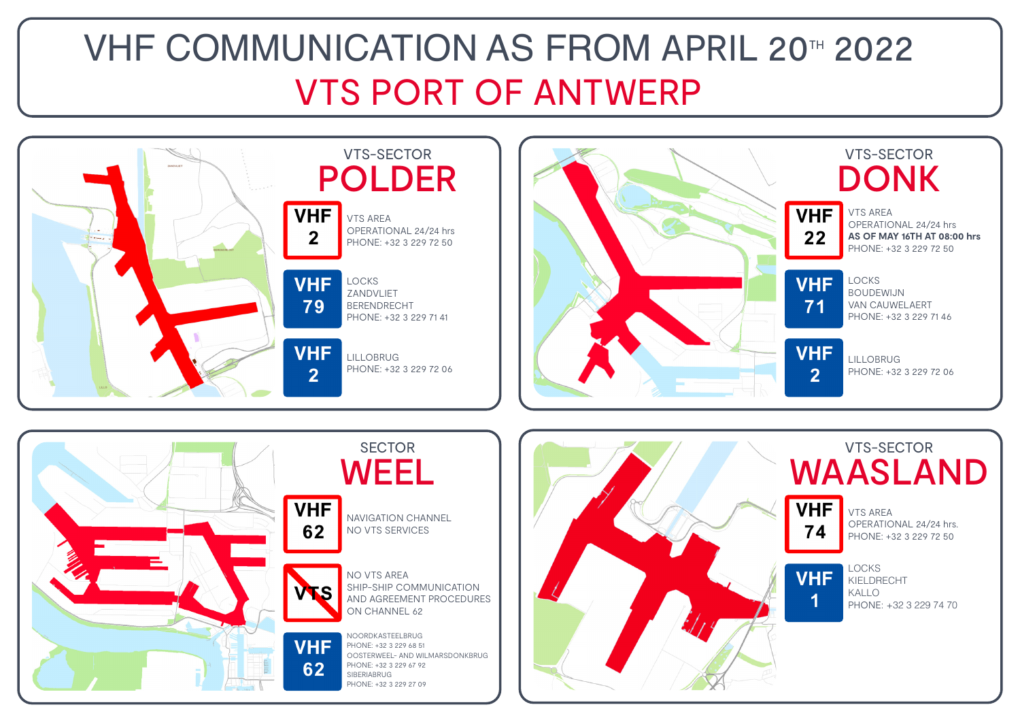### VHF COMMUNICATION AS FROM APRIL 20TH 2022 VTS PORT OF ANTWERP